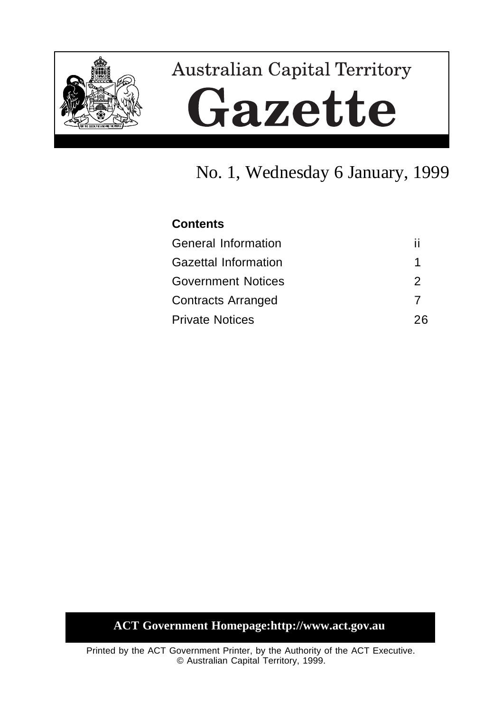

# **Australian Capital Territory** Gazette

## No. 1, Wednesday 6 January, 1999

#### **Contents**

| <b>General Information</b>  |    |
|-----------------------------|----|
| <b>Gazettal Information</b> | 1  |
| <b>Government Notices</b>   | 2  |
| <b>Contracts Arranged</b>   |    |
| <b>Private Notices</b>      | 26 |

### **ACT Government Homepage:http://www.act.gov.au**

Printed by the ACT Government Printer, by the Authority of the ACT Executive. © Australian Capital Territory, 1999.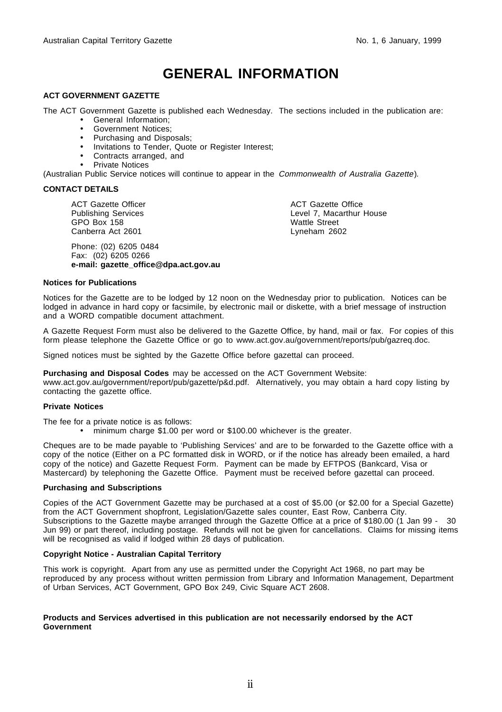### **GENERAL INFORMATION**

#### **ACT GOVERNMENT GAZETTE**

The ACT Government Gazette is published each Wednesday. The sections included in the publication are:

- General Information;
- Government Notices;
- Purchasing and Disposals;
- Invitations to Tender, Quote or Register Interest;
- Contracts arranged, and
- Private Notices

(Australian Public Service notices will continue to appear in the Commonwealth of Australia Gazette).

#### **CONTACT DETAILS**

ACT Gazette Officer Publishing Services GPO Box 158 Canberra Act 2601

Phone: (02) 6205 0484 Fax: (02) 6205 0266 **e-mail: gazette\_office@dpa.act.gov.au** ACT Gazette Office Level 7, Macarthur House Wattle Street Lyneham 2602

#### **Notices for Publications**

Notices for the Gazette are to be lodged by 12 noon on the Wednesday prior to publication. Notices can be lodged in advance in hard copy or facsimile, by electronic mail or diskette, with a brief message of instruction and a WORD compatible document attachment.

A Gazette Request Form must also be delivered to the Gazette Office, by hand, mail or fax. For copies of this form please telephone the Gazette Office or go to www.act.gov.au/government/reports/pub/gazreq.doc.

Signed notices must be sighted by the Gazette Office before gazettal can proceed.

**Purchasing and Disposal Codes** may be accessed on the ACT Government Website:

www.act.gov.au/government/report/pub/gazette/p&d.pdf. Alternatively, you may obtain a hard copy listing by contacting the gazette office.

#### **Private Notices**

The fee for a private notice is as follows:

• minimum charge \$1.00 per word or \$100.00 whichever is the greater.

Cheques are to be made payable to 'Publishing Services' and are to be forwarded to the Gazette office with a copy of the notice (Either on a PC formatted disk in WORD, or if the notice has already been emailed, a hard copy of the notice) and Gazette Request Form. Payment can be made by EFTPOS (Bankcard, Visa or Mastercard) by telephoning the Gazette Office. Payment must be received before gazettal can proceed.

#### **Purchasing and Subscriptions**

Copies of the ACT Government Gazette may be purchased at a cost of \$5.00 (or \$2.00 for a Special Gazette) from the ACT Government shopfront, Legislation/Gazette sales counter, East Row, Canberra City. Subscriptions to the Gazette maybe arranged through the Gazette Office at a price of \$180.00 (1 Jan 99 - 30 Jun 99) or part thereof, including postage. Refunds will not be given for cancellations. Claims for missing items will be recognised as valid if lodged within 28 days of publication.

#### **Copyright Notice - Australian Capital Territory**

This work is copyright. Apart from any use as permitted under the Copyright Act 1968, no part may be reproduced by any process without written permission from Library and Information Management, Department of Urban Services, ACT Government, GPO Box 249, Civic Square ACT 2608.

#### **Products and Services advertised in this publication are not necessarily endorsed by the ACT Government**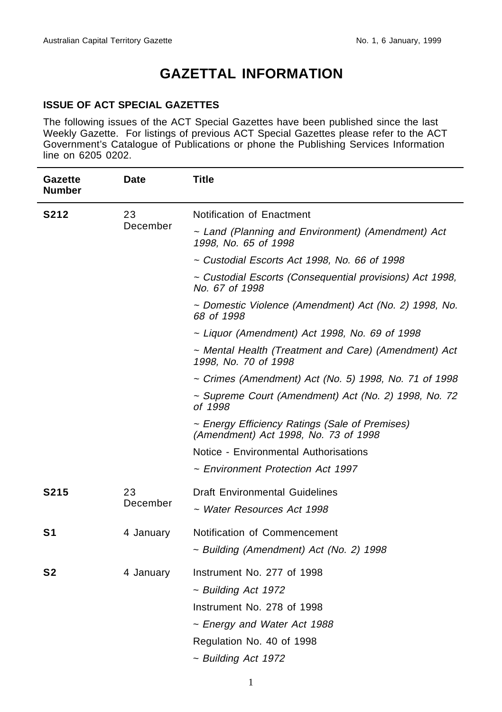### **GAZETTAL INFORMATION**

#### **ISSUE OF ACT SPECIAL GAZETTES**

The following issues of the ACT Special Gazettes have been published since the last Weekly Gazette. For listings of previous ACT Special Gazettes please refer to the ACT Government's Catalogue of Publications or phone the Publishing Services Information line on 6205 0202.

| <b>Gazette</b><br><b>Number</b> | <b>Date</b> | Title                                                                                  |
|---------------------------------|-------------|----------------------------------------------------------------------------------------|
| S212                            | 23          | Notification of Enactment                                                              |
|                                 | December    | ~ Land (Planning and Environment) (Amendment) Act<br>1998, No. 65 of 1998              |
|                                 |             | ~ Custodial Escorts Act 1998, No. 66 of 1998                                           |
|                                 |             | ~ Custodial Escorts (Consequential provisions) Act 1998,<br>No. 67 of 1998             |
|                                 |             | ~ Domestic Violence (Amendment) Act (No. 2) 1998, No.<br>68 of 1998                    |
|                                 |             | ~ Liquor (Amendment) Act 1998, No. 69 of 1998                                          |
|                                 |             | ~ Mental Health (Treatment and Care) (Amendment) Act<br>1998, No. 70 of 1998           |
|                                 |             | ~ Crimes (Amendment) Act (No. 5) 1998, No. 71 of 1998                                  |
|                                 |             | ~ Supreme Court (Amendment) Act (No. 2) 1998, No. 72<br>of 1998                        |
|                                 |             | ~ Energy Efficiency Ratings (Sale of Premises)<br>(Amendment) Act 1998, No. 73 of 1998 |
|                                 |             | Notice - Environmental Authorisations                                                  |
|                                 |             | ~ Environment Protection Act 1997                                                      |
| <b>S215</b>                     | 23          | <b>Draft Environmental Guidelines</b>                                                  |
|                                 | December    | ~ Water Resources Act 1998                                                             |
| S <sub>1</sub>                  | 4 January   | Notification of Commencement                                                           |
|                                 |             | ~ Building (Amendment) Act (No. 2) 1998                                                |
| S2                              | 4 January   | Instrument No. 277 of 1998                                                             |
|                                 |             | $\sim$ Building Act 1972                                                               |
|                                 |             | Instrument No. 278 of 1998                                                             |
|                                 |             | ~ Energy and Water Act 1988                                                            |
|                                 |             | Regulation No. 40 of 1998                                                              |
|                                 |             | ~ Building Act 1972                                                                    |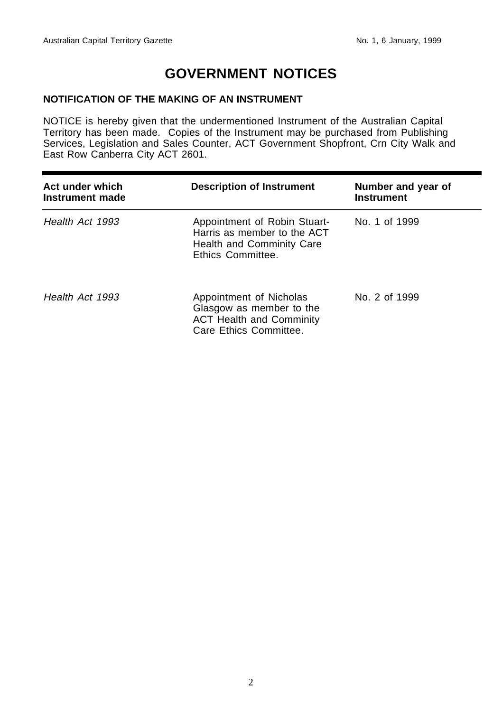### **GOVERNMENT NOTICES**

#### **NOTIFICATION OF THE MAKING OF AN INSTRUMENT**

NOTICE is hereby given that the undermentioned Instrument of the Australian Capital Territory has been made. Copies of the Instrument may be purchased from Publishing Services, Legislation and Sales Counter, ACT Government Shopfront, Crn City Walk and East Row Canberra City ACT 2601.

| Act under which<br>Instrument made | <b>Description of Instrument</b>                                                                                 | Number and year of<br><b>Instrument</b> |
|------------------------------------|------------------------------------------------------------------------------------------------------------------|-----------------------------------------|
| Health Act 1993                    | Appointment of Robin Stuart-<br>Harris as member to the ACT<br>Health and Comminity Care<br>Ethics Committee.    | No. 1 of 1999                           |
| Health Act 1993                    | Appointment of Nicholas<br>Glasgow as member to the<br><b>ACT Health and Comminity</b><br>Care Ethics Committee. | No. 2 of 1999                           |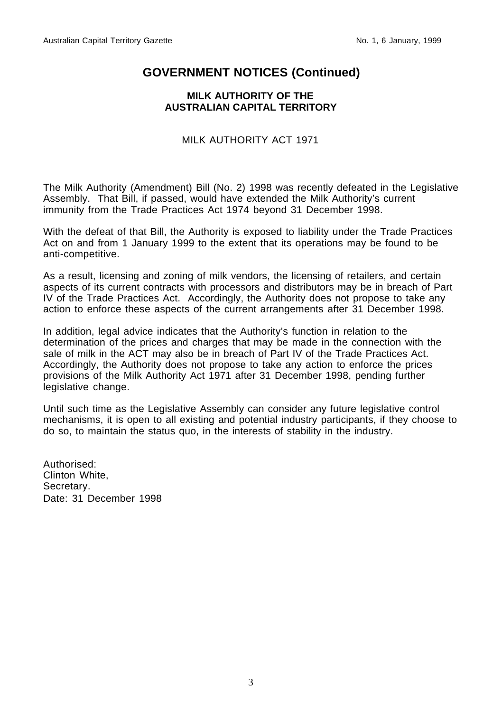#### **MILK AUTHORITY OF THE AUSTRALIAN CAPITAL TERRITORY**

MILK AUTHORITY ACT 1971

The Milk Authority (Amendment) Bill (No. 2) 1998 was recently defeated in the Legislative Assembly. That Bill, if passed, would have extended the Milk Authority's current immunity from the Trade Practices Act 1974 beyond 31 December 1998.

With the defeat of that Bill, the Authority is exposed to liability under the Trade Practices Act on and from 1 January 1999 to the extent that its operations may be found to be anti-competitive.

As a result, licensing and zoning of milk vendors, the licensing of retailers, and certain aspects of its current contracts with processors and distributors may be in breach of Part IV of the Trade Practices Act. Accordingly, the Authority does not propose to take any action to enforce these aspects of the current arrangements after 31 December 1998.

In addition, legal advice indicates that the Authority's function in relation to the determination of the prices and charges that may be made in the connection with the sale of milk in the ACT may also be in breach of Part IV of the Trade Practices Act. Accordingly, the Authority does not propose to take any action to enforce the prices provisions of the Milk Authority Act 1971 after 31 December 1998, pending further legislative change.

Until such time as the Legislative Assembly can consider any future legislative control mechanisms, it is open to all existing and potential industry participants, if they choose to do so, to maintain the status quo, in the interests of stability in the industry.

Authorised: Clinton White, Secretary. Date: 31 December 1998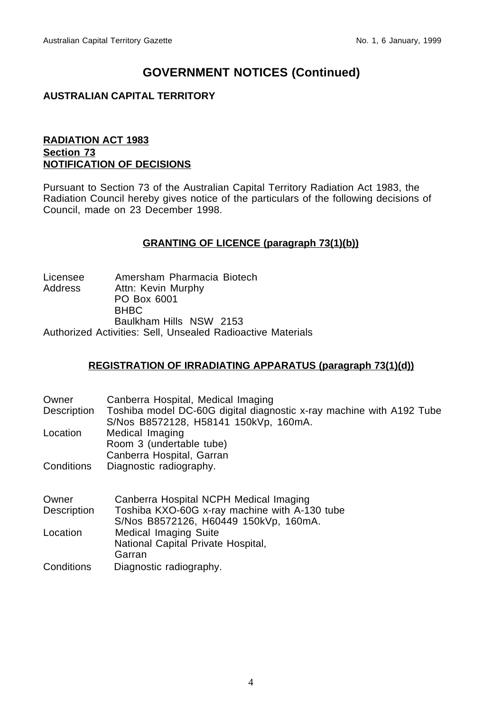#### **AUSTRALIAN CAPITAL TERRITORY**

#### **RADIATION ACT 1983 Section 73 NOTIFICATION OF DECISIONS**

Pursuant to Section 73 of the Australian Capital Territory Radiation Act 1983, the Radiation Council hereby gives notice of the particulars of the following decisions of Council, made on 23 December 1998.

#### **GRANTING OF LICENCE (paragraph 73(1)(b))**

| Licensee | Amersham Pharmacia Biotech                                  |
|----------|-------------------------------------------------------------|
| Address  | Attn: Kevin Murphy                                          |
|          | PO Box 6001                                                 |
|          | <b>BHBC</b>                                                 |
|          | Baulkham Hills NSW 2153                                     |
|          | Authorized Activities: Sell. Unsealed Radioactive Materials |

#### **REGISTRATION OF IRRADIATING APPARATUS (paragraph 73(1)(d))**

| Owner       | Canberra Hospital, Medical Imaging                                                                            |
|-------------|---------------------------------------------------------------------------------------------------------------|
| Description | Toshiba model DC-60G digital diagnostic x-ray machine with A192 Tube<br>S/Nos B8572128, H58141 150kVp, 160mA. |
| Location    | Medical Imaging                                                                                               |
|             | Room 3 (undertable tube)                                                                                      |
|             | Canberra Hospital, Garran                                                                                     |
| Conditions  | Diagnostic radiography.                                                                                       |
|             |                                                                                                               |
| Owner       | Canberra Hospital NCPH Medical Imaging                                                                        |
| Description | Toshiba KXO-60G x-ray machine with A-130 tube                                                                 |
|             | S/Nos B8572126, H60449 150kVp, 160mA.                                                                         |
| Location    | Medical Imaging Suite                                                                                         |
|             | National Capital Private Hospital,                                                                            |
|             | Garran                                                                                                        |

Conditions Diagnostic radiography.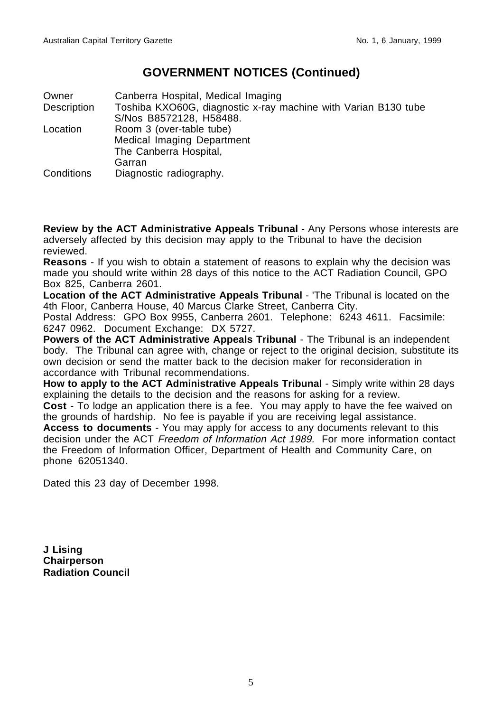Owner Canberra Hospital, Medical Imaging Description Toshiba KXO60G, diagnostic x-ray machine with Varian B130 tube S/Nos B8572128, H58488. Location Room 3 (over-table tube) Medical Imaging Department The Canberra Hospital, Garran Conditions Diagnostic radiography.

**Review by the ACT Administrative Appeals Tribunal** - Any Persons whose interests are adversely affected by this decision may apply to the Tribunal to have the decision reviewed.

**Reasons** - If you wish to obtain a statement of reasons to explain why the decision was made you should write within 28 days of this notice to the ACT Radiation Council, GPO Box 825, Canberra 2601.

**Location of the ACT Administrative Appeals Tribunal** - 'The Tribunal is located on the 4th Floor, Canberra House, 40 Marcus Clarke Street, Canberra City.

Postal Address: GPO Box 9955, Canberra 2601. Telephone: 6243 4611. Facsimile: 6247 0962. Document Exchange: DX 5727.

**Powers of the ACT Administrative Appeals Tribunal** - The Tribunal is an independent body. The Tribunal can agree with, change or reject to the original decision, substitute its own decision or send the matter back to the decision maker for reconsideration in accordance with Tribunal recommendations.

**How to apply to the ACT Administrative Appeals Tribunal** - Simply write within 28 days explaining the details to the decision and the reasons for asking for a review.

**Cost** - To lodge an application there is a fee. You may apply to have the fee waived on the grounds of hardship. No fee is payable if you are receiving legal assistance.

**Access to documents** - You may apply for access to any documents relevant to this decision under the ACT Freedom of Information Act 1989. For more information contact the Freedom of Information Officer, Department of Health and Community Care, on phone 62051340.

Dated this 23 day of December 1998.

**J Lising Chairperson Radiation Council**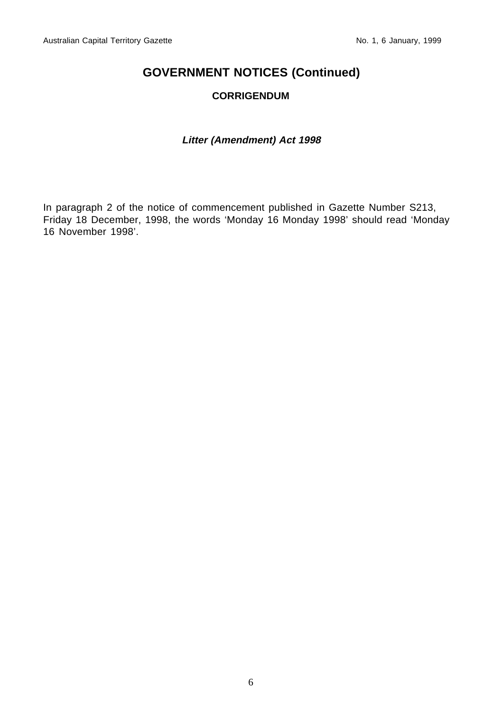#### **CORRIGENDUM**

#### **Litter (Amendment) Act 1998**

In paragraph 2 of the notice of commencement published in Gazette Number S213, Friday 18 December, 1998, the words 'Monday 16 Monday 1998' should read 'Monday 16 November 1998'.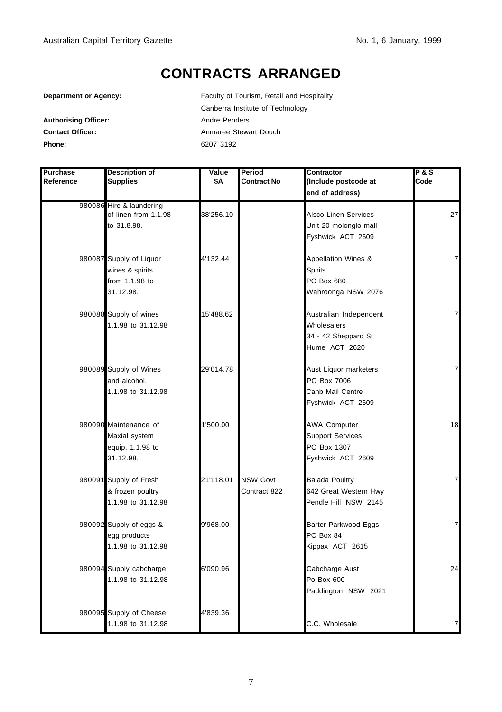### **CONTRACTS ARRANGED**

**Department or Agency:** Faculty of Tourism, Retail and Hospitality

Canberra Institute of Technology Authorising Officer: Andre Penders **Contact Officer:** Anmaree Stewart Douch **Phone:** 6207 3192

| <b>Purchase</b> | <b>Description of</b>                            | Value     | Period             | Contractor              | $P$ & S        |
|-----------------|--------------------------------------------------|-----------|--------------------|-------------------------|----------------|
| Reference       | <b>Supplies</b>                                  | \$Α       | <b>Contract No</b> | (Include postcode at    | Code           |
|                 |                                                  |           |                    | end of address)         |                |
|                 | 980086 Hire & laundering<br>of linen from 1.1.98 | 38'256.10 |                    | Alsco Linen Services    | 27             |
|                 | to 31.8.98.                                      |           |                    | Unit 20 molonglo mall   |                |
|                 |                                                  |           |                    | Fyshwick ACT 2609       |                |
|                 |                                                  |           |                    |                         |                |
|                 | 980087 Supply of Liquor                          | 4'132.44  |                    | Appellation Wines &     | $\overline{7}$ |
|                 | wines & spirits                                  |           |                    | <b>Spirits</b>          |                |
|                 | from 1.1.98 to                                   |           |                    | PO Box 680              |                |
|                 | 31.12.98.                                        |           |                    | Wahroonga NSW 2076      |                |
|                 | 980088 Supply of wines                           | 15'488.62 |                    | Australian Independent  | $\overline{7}$ |
|                 | 1.1.98 to 31.12.98                               |           |                    | Wholesalers             |                |
|                 |                                                  |           |                    | 34 - 42 Sheppard St     |                |
|                 |                                                  |           |                    | Hume ACT 2620           |                |
|                 | 980089 Supply of Wines                           | 29'014.78 |                    | Aust Liquor marketers   | $\overline{7}$ |
|                 | and alcohol.                                     |           |                    | PO Box 7006             |                |
|                 | 1.1.98 to 31.12.98                               |           |                    | Canb Mail Centre        |                |
|                 |                                                  |           |                    | Fyshwick ACT 2609       |                |
|                 | 980090 Maintenance of                            | 1'500.00  |                    | <b>AWA Computer</b>     | 18             |
|                 | Maxial system                                    |           |                    | <b>Support Services</b> |                |
|                 | equip. 1.1.98 to                                 |           |                    | PO Box 1307             |                |
|                 | 31.12.98.                                        |           |                    | Fyshwick ACT 2609       |                |
|                 | 980091 Supply of Fresh                           | 21'118.01 | <b>NSW Govt</b>    | Baiada Poultry          | $\overline{7}$ |
|                 | & frozen poultry                                 |           | Contract 822       | 642 Great Western Hwy   |                |
|                 | 1.1.98 to 31.12.98                               |           |                    | Pendle Hill NSW 2145    |                |
|                 | 980092 Supply of eggs &                          | 9'968.00  |                    | Barter Parkwood Eggs    | $\overline{7}$ |
|                 | egg products                                     |           |                    | PO Box 84               |                |
|                 | 1.1.98 to 31.12.98                               |           |                    | Kippax ACT 2615         |                |
|                 | 980094 Supply cabcharge                          | 6'090.96  |                    | Cabcharge Aust          | 24             |
|                 | 1.1.98 to 31.12.98                               |           |                    | Po Box 600              |                |
|                 |                                                  |           |                    | Paddington NSW 2021     |                |
|                 | 980095 Supply of Cheese                          | 4'839.36  |                    |                         |                |
|                 | 1.1.98 to 31.12.98                               |           |                    | C.C. Wholesale          | 7              |

#### 7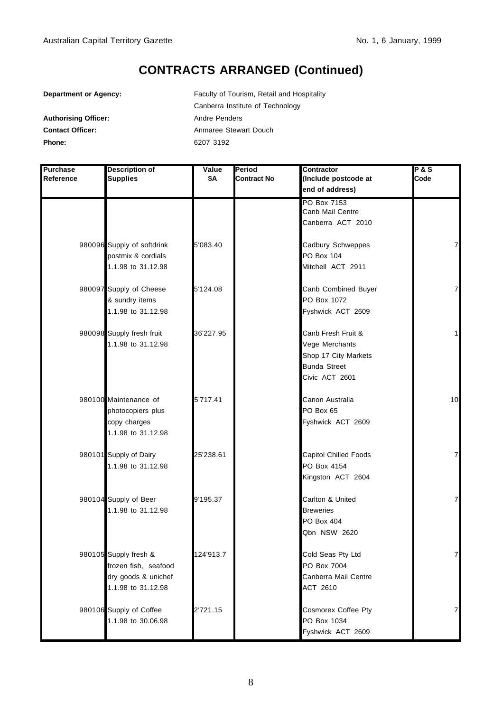| Department or Agency:       | Faculty of Tourism, Retail and Hospitality |
|-----------------------------|--------------------------------------------|
|                             | Canberra Institute of Technology           |
| <b>Authorising Officer:</b> | Andre Penders                              |
| <b>Contact Officer:</b>     | Anmaree Stewart Douch                      |
| Phone:                      | 6207 3192                                  |

| Purchase  | <b>Description of</b>      | Value     | Period             | Contractor            | $P$ & S        |
|-----------|----------------------------|-----------|--------------------|-----------------------|----------------|
| Reference | <b>Supplies</b>            | \$Α       | <b>Contract No</b> | (Include postcode at  | Code           |
|           |                            |           |                    | end of address)       |                |
|           |                            |           |                    | PO Box 7153           |                |
|           |                            |           |                    | Canb Mail Centre      |                |
|           |                            |           |                    | Canberra ACT 2010     |                |
|           | 980096 Supply of softdrink | 5'083.40  |                    | Cadbury Schweppes     | $\overline{7}$ |
|           | postmix & cordials         |           |                    | PO Box 104            |                |
|           | 1.1.98 to 31.12.98         |           |                    | Mitchell ACT 2911     |                |
|           | 980097 Supply of Cheese    | 5'124.08  |                    | Canb Combined Buyer   | $\overline{7}$ |
|           | & sundry items             |           |                    | PO Box 1072           |                |
|           | 1.1.98 to 31.12.98         |           |                    | Fyshwick ACT 2609     |                |
|           | 980098 Supply fresh fruit  | 36'227.95 |                    | Canb Fresh Fruit &    | $\mathbf{1}$   |
|           | 1.1.98 to 31.12.98         |           |                    | Vege Merchants        |                |
|           |                            |           |                    | Shop 17 City Markets  |                |
|           |                            |           |                    | <b>Bunda Street</b>   |                |
|           |                            |           |                    | Civic ACT 2601        |                |
|           | 980100 Maintenance of      | 5'717.41  |                    | Canon Australia       | 10             |
|           | photocopiers plus          |           |                    | PO Box 65             |                |
|           | copy charges               |           |                    | Fyshwick ACT 2609     |                |
|           | 1.1.98 to 31.12.98         |           |                    |                       |                |
|           | 980101 Supply of Dairy     | 25'238.61 |                    | Capitol Chilled Foods | 7              |
|           | 1.1.98 to 31.12.98         |           |                    | PO Box 4154           |                |
|           |                            |           |                    | Kingston ACT 2604     |                |
|           | 980104 Supply of Beer      | 9'195.37  |                    | Carlton & United      | 7              |
|           | 1.1.98 to 31.12.98         |           |                    | <b>Breweries</b>      |                |
|           |                            |           |                    | PO Box 404            |                |
|           |                            |           |                    | Qbn NSW 2620          |                |
|           | 980105 Supply fresh &      | 124'913.7 |                    | Cold Seas Pty Ltd     | $\overline{7}$ |
|           | frozen fish, seafood       |           |                    | PO Box 7004           |                |
|           | dry goods & unichef        |           |                    | Canberra Mail Centre  |                |
|           | 1.1.98 to 31.12.98         |           |                    | ACT 2610              |                |
|           | 980106 Supply of Coffee    | 2'721.15  |                    | Cosmorex Coffee Pty   | $\overline{7}$ |
|           | 1.1.98 to 30.06.98         |           |                    | PO Box 1034           |                |
|           |                            |           |                    | Fyshwick ACT 2609     |                |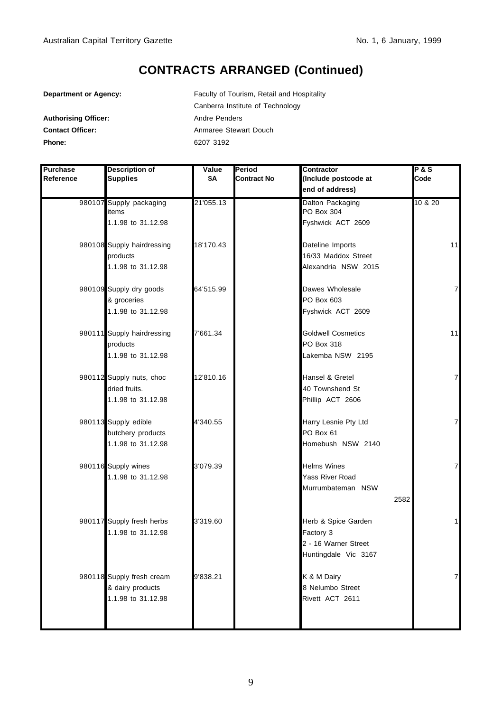| Department or Agency:       | Faculty of Tourism, Retail and Hospitality |  |  |
|-----------------------------|--------------------------------------------|--|--|
|                             | Canberra Institute of Technology           |  |  |
| <b>Authorising Officer:</b> | Andre Penders                              |  |  |
| <b>Contact Officer:</b>     | Anmaree Stewart Douch                      |  |  |
| Phone:                      | 6207 3192                                  |  |  |

| Purchase  | <b>Description of</b>      | Value     | Period             | Contractor                | <b>P&amp;S</b> |
|-----------|----------------------------|-----------|--------------------|---------------------------|----------------|
| Reference | <b>Supplies</b>            | \$Α       | <b>Contract No</b> | (Include postcode at      | Code           |
|           |                            |           |                    | end of address)           |                |
|           | 980107 Supply packaging    | 21'055.13 |                    | Dalton Packaging          | 10 & 20        |
|           | items                      |           |                    | PO Box 304                |                |
|           | 1.1.98 to 31.12.98         |           |                    | Fyshwick ACT 2609         |                |
|           | 980108 Supply hairdressing | 18'170.43 |                    | Dateline Imports          | 11             |
|           | products                   |           |                    | 16/33 Maddox Street       |                |
|           | 1.1.98 to 31.12.98         |           |                    | Alexandria NSW 2015       |                |
|           | 980109 Supply dry goods    | 64'515.99 |                    | Dawes Wholesale           | 7              |
|           | & groceries                |           |                    | PO Box 603                |                |
|           | 1.1.98 to 31.12.98         |           |                    | Fyshwick ACT 2609         |                |
|           | 980111 Supply hairdressing | 7'661.34  |                    | <b>Goldwell Cosmetics</b> | 11             |
|           | products                   |           |                    | PO Box 318                |                |
|           | 1.1.98 to 31.12.98         |           |                    | Lakemba NSW 2195          |                |
|           | 980112 Supply nuts, choc   | 12'810.16 |                    | Hansel & Gretel           | $\overline{7}$ |
|           | dried fruits.              |           |                    | 40 Townshend St           |                |
|           | 1.1.98 to 31.12.98         |           |                    | Phillip ACT 2606          |                |
|           | 980113 Supply edible       | 4'340.55  |                    | Harry Lesnie Pty Ltd      | 7              |
|           | butchery products          |           |                    | PO Box 61                 |                |
|           | 1.1.98 to 31.12.98         |           |                    | Homebush NSW 2140         |                |
|           | 980116 Supply wines        | 3'079.39  |                    | <b>Helms Wines</b>        | 7              |
|           | 1.1.98 to 31.12.98         |           |                    | <b>Yass River Road</b>    |                |
|           |                            |           |                    | Murrumbateman NSW         |                |
|           |                            |           |                    |                           | 2582           |
|           | 980117 Supply fresh herbs  | 3'319.60  |                    | Herb & Spice Garden       | 1              |
|           | 1.1.98 to 31.12.98         |           |                    | Factory 3                 |                |
|           |                            |           |                    | 2 - 16 Warner Street      |                |
|           |                            |           |                    | Huntingdale Vic 3167      |                |
|           |                            |           |                    |                           |                |
|           | 980118 Supply fresh cream  | 9'838.21  |                    | K & M Dairy               | $\overline{7}$ |
|           | & dairy products           |           |                    | 8 Nelumbo Street          |                |
|           | 1.1.98 to 31.12.98         |           |                    | Rivett ACT 2611           |                |
|           |                            |           |                    |                           |                |
|           |                            |           |                    |                           |                |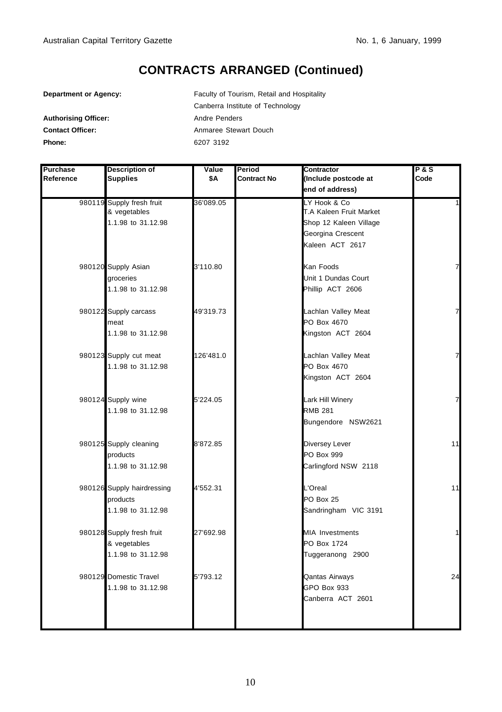| <b>Department or Agency:</b> | Faculty of Tourism, Retail and Hospitality |  |  |
|------------------------------|--------------------------------------------|--|--|
|                              | Canberra Institute of Technology           |  |  |
| <b>Authorising Officer:</b>  | Andre Penders                              |  |  |
| <b>Contact Officer:</b>      | Anmaree Stewart Douch                      |  |  |
| Phone:                       | 6207 3192                                  |  |  |

| <b>Purchase</b> | Description of             | Value     | Period             | Contractor              | $P$ &S         |
|-----------------|----------------------------|-----------|--------------------|-------------------------|----------------|
| Reference       | <b>Supplies</b>            | \$Α       | <b>Contract No</b> | (Include postcode at    | Code           |
|                 |                            |           |                    | end of address)         |                |
|                 | 980119 Supply fresh fruit  | 36'089.05 |                    | LY Hook & Co            |                |
|                 | & vegetables               |           |                    | T.A Kaleen Fruit Market |                |
|                 | 1.1.98 to 31.12.98         |           |                    | Shop 12 Kaleen Village  |                |
|                 |                            |           |                    | Georgina Crescent       |                |
|                 |                            |           |                    | Kaleen ACT 2617         |                |
|                 | 980120 Supply Asian        | 3'110.80  |                    | Kan Foods               | $\overline{7}$ |
|                 | groceries                  |           |                    | Unit 1 Dundas Court     |                |
|                 | 1.1.98 to 31.12.98         |           |                    | Phillip ACT 2606        |                |
|                 | 980122 Supply carcass      | 49'319.73 |                    | Lachlan Valley Meat     | 7              |
|                 | meat                       |           |                    | PO Box 4670             |                |
|                 | 1.1.98 to 31.12.98         |           |                    | Kingston ACT 2604       |                |
|                 | 980123 Supply cut meat     | 126'481.0 |                    | Lachlan Valley Meat     |                |
|                 | 1.1.98 to 31.12.98         |           |                    | PO Box 4670             |                |
|                 |                            |           |                    | Kingston ACT 2604       |                |
|                 | 980124 Supply wine         | 5'224.05  |                    | Lark Hill Winery        | 7              |
|                 | 1.1.98 to 31.12.98         |           |                    | <b>RMB 281</b>          |                |
|                 |                            |           |                    | Bungendore NSW2621      |                |
|                 | 980125 Supply cleaning     | 8'872.85  |                    | Diversey Lever          | 11             |
|                 | products                   |           |                    | PO Box 999              |                |
|                 | 1.1.98 to 31.12.98         |           |                    | Carlingford NSW 2118    |                |
|                 | 980126 Supply hairdressing | 4'552.31  |                    | L'Oreal                 | 11             |
|                 | products                   |           |                    | PO Box 25               |                |
|                 | 1.1.98 to 31.12.98         |           |                    | Sandringham VIC 3191    |                |
|                 | 980128 Supply fresh fruit  | 27'692.98 |                    | <b>MIA Investments</b>  | $\mathbf{1}$   |
|                 | & vegetables               |           |                    | PO Box 1724             |                |
|                 | 1.1.98 to 31.12.98         |           |                    | Tuggeranong 2900        |                |
|                 | 980129 Domestic Travel     | 5'793.12  |                    | Qantas Airways          | 24             |
|                 | 1.1.98 to 31.12.98         |           |                    | GPO Box 933             |                |
|                 |                            |           |                    | Canberra ACT 2601       |                |
|                 |                            |           |                    |                         |                |
|                 |                            |           |                    |                         |                |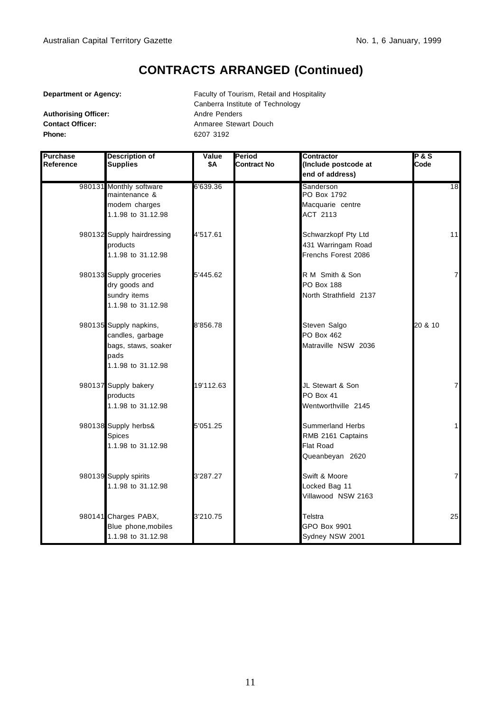Authorising Officer: Andre Penders **Phone:** 6207 3192

**Department or Agency:** Faculty of Tourism, Retail and Hospitality Canberra Institute of Technology **Contact Officer:** Anmaree Stewart Douch

| <b>Purchase</b><br>Reference | <b>Description of</b><br><b>Supplies</b>                                                        | Value<br>\$Α | Period<br>Contract No | Contractor<br>(Include postcode at<br>end of address)                        | <b>P&amp;S</b><br>Code |
|------------------------------|-------------------------------------------------------------------------------------------------|--------------|-----------------------|------------------------------------------------------------------------------|------------------------|
|                              | 980131 Monthly software<br>maintenance &<br>modem charges<br>1.1.98 to 31.12.98                 | 6'639.36     |                       | Sanderson<br>PO Box 1792<br>Macquarie centre<br>ACT 2113                     | 18                     |
|                              | 980132 Supply hairdressing<br>products<br>1.1.98 to 31.12.98                                    | 4'517.61     |                       | Schwarzkopf Pty Ltd<br>431 Warringam Road<br>Frenchs Forest 2086             | 11                     |
|                              | 980133 Supply groceries<br>dry goods and<br>sundry items<br>1.1.98 to 31.12.98                  | 5'445.62     |                       | R M Smith & Son<br>PO Box 188<br>North Strathfield 2137                      | $\overline{7}$         |
|                              | 980135 Supply napkins,<br>candles, garbage<br>bags, staws, soaker<br>pads<br>1.1.98 to 31.12.98 | 8'856.78     |                       | Steven Salgo<br>PO Box 462<br>Matraville NSW 2036                            | 20 & 10                |
|                              | 980137 Supply bakery<br>products<br>1.1.98 to 31.12.98                                          | 19'112.63    |                       | JL Stewart & Son<br>PO Box 41<br>Wentworthville 2145                         | $\overline{7}$         |
|                              | 980138 Supply herbs&<br><b>Spices</b><br>1.1.98 to 31.12.98                                     | 5'051.25     |                       | <b>Summerland Herbs</b><br>RMB 2161 Captains<br>Flat Road<br>Queanbeyan 2620 | 1                      |
|                              | 980139 Supply spirits<br>1.1.98 to 31.12.98                                                     | 3'287.27     |                       | Swift & Moore<br>Locked Bag 11<br>Villawood NSW 2163                         | $\overline{7}$         |
|                              | 980141 Charges PABX,<br>Blue phone, mobiles<br>1.1.98 to 31.12.98                               | 3'210.75     |                       | Telstra<br>GPO Box 9901<br>Sydney NSW 2001                                   | 25                     |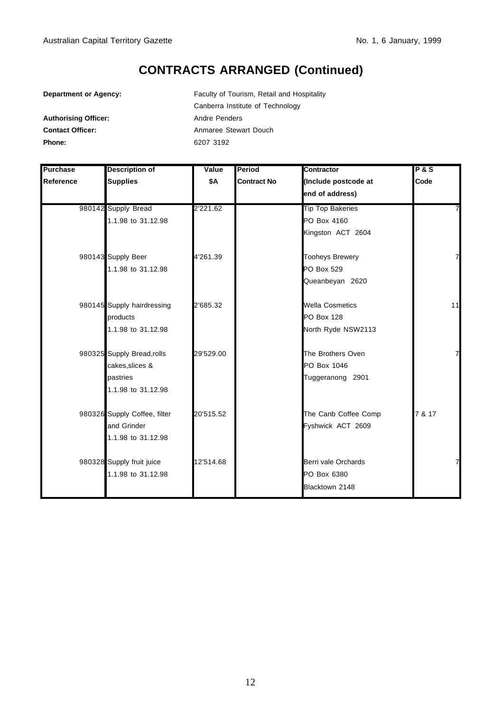| <b>Department or Agency:</b> | Faculty of Tourism, Retail and Hospitality |  |  |
|------------------------------|--------------------------------------------|--|--|
|                              | Canberra Institute of Technology           |  |  |
| <b>Authorising Officer:</b>  | Andre Penders                              |  |  |
| <b>Contact Officer:</b>      | Anmaree Stewart Douch                      |  |  |
| Phone:                       | 6207 3192                                  |  |  |

| <b>Purchase</b> | <b>Description of</b>        | Value     | Period             | Contractor              | PAS    |
|-----------------|------------------------------|-----------|--------------------|-------------------------|--------|
| Reference       | <b>Supplies</b>              | \$A       | <b>Contract No</b> | (Include postcode at    | Code   |
|                 |                              |           |                    | end of address)         |        |
|                 | 980142 Supply Bread          | 2'221.62  |                    | <b>Tip Top Bakeries</b> |        |
|                 | 1.1.98 to 31.12.98           |           |                    | PO Box 4160             |        |
|                 |                              |           |                    | Kingston ACT 2604       |        |
|                 | 980143 Supply Beer           | 4'261.39  |                    | <b>Tooheys Brewery</b>  | 7      |
|                 | 1.1.98 to 31.12.98           |           |                    | PO Box 529              |        |
|                 |                              |           |                    | Queanbeyan 2620         |        |
|                 | 980145 Supply hairdressing   | 2'685.32  |                    | <b>Wella Cosmetics</b>  | 11     |
|                 | products                     |           |                    | <b>PO Box 128</b>       |        |
|                 | 1.1.98 to 31.12.98           |           |                    | North Ryde NSW2113      |        |
|                 | 980325 Supply Bread, rolls   | 29'529.00 |                    | The Brothers Oven       | 7      |
|                 | cakes, slices &              |           |                    | PO Box 1046             |        |
|                 | pastries                     |           |                    | Tuggeranong 2901        |        |
|                 | 1.1.98 to 31.12.98           |           |                    |                         |        |
|                 | 980326 Supply Coffee, filter | 20'515.52 |                    | The Canb Coffee Comp    | 7 & 17 |
|                 | and Grinder                  |           |                    | Fyshwick ACT 2609       |        |
|                 | 1.1.98 to 31.12.98           |           |                    |                         |        |
|                 | 980328 Supply fruit juice    | 12'514.68 |                    | Berri vale Orchards     | 7      |
|                 | 1.1.98 to 31.12.98           |           |                    | PO Box 6380             |        |
|                 |                              |           |                    | Blacktown 2148          |        |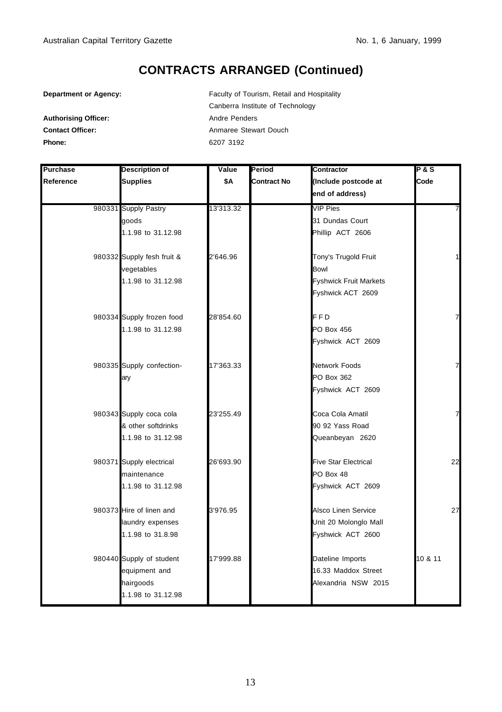Authorising Officer: **Authorising Officer:** Andre Penders

**Department or Agency:** Faculty of Tourism, Retail and Hospitality Canberra Institute of Technology **Contact Officer:** Anmaree Stewart Douch **Phone:** 6207 3192

| <b>Purchase</b> | <b>Description of</b>      | Value     | Period             | Contractor                    | <b>P&amp;S</b> |
|-----------------|----------------------------|-----------|--------------------|-------------------------------|----------------|
| Reference       | <b>Supplies</b>            | \$Α       | <b>Contract No</b> | (Include postcode at          | Code           |
|                 |                            |           |                    | end of address)               |                |
|                 | 980331 Supply Pastry       | 13'313.32 |                    | <b>VIP Pies</b>               | 7              |
|                 | goods                      |           |                    | 31 Dundas Court               |                |
|                 | 1.1.98 to 31.12.98         |           |                    | Phillip ACT 2606              |                |
|                 | 980332 Supply fesh fruit & | 2'646.96  |                    | Tony's Trugold Fruit          |                |
|                 | vegetables                 |           |                    | <b>Bowl</b>                   |                |
|                 | 1.1.98 to 31.12.98         |           |                    | <b>Fyshwick Fruit Markets</b> |                |
|                 |                            |           |                    | Fyshwick ACT 2609             |                |
|                 | 980334 Supply frozen food  | 28'854.60 |                    | FFD                           | 7              |
|                 | 1.1.98 to 31.12.98         |           |                    | <b>PO Box 456</b>             |                |
|                 |                            |           |                    | Fyshwick ACT 2609             |                |
|                 | 980335 Supply confection-  | 17'363.33 |                    | <b>Network Foods</b>          | 7              |
|                 | ary                        |           |                    | PO Box 362                    |                |
|                 |                            |           |                    | Fyshwick ACT 2609             |                |
|                 | 980343 Supply coca cola    | 23'255.49 |                    | Coca Cola Amatil              | 7              |
|                 | & other softdrinks         |           |                    | 90 92 Yass Road               |                |
|                 | 1.1.98 to 31.12.98         |           |                    | Queanbeyan 2620               |                |
|                 | 980371 Supply electrical   | 26'693.90 |                    | <b>Five Star Electrical</b>   | 22             |
|                 | maintenance                |           |                    | PO Box 48                     |                |
|                 | 1.1.98 to 31.12.98         |           |                    | Fyshwick ACT 2609             |                |
|                 | 980373 Hire of linen and   | 3'976.95  |                    | Alsco Linen Service           | 27             |
|                 | laundry expenses           |           |                    | Unit 20 Molonglo Mall         |                |
|                 | 1.1.98 to 31.8.98          |           |                    | Fyshwick ACT 2600             |                |
|                 | 980440 Supply of student   | 17'999.88 |                    | Dateline Imports              | 10 & 11        |
|                 | equipment and              |           |                    | 16.33 Maddox Street           |                |
|                 | hairgoods                  |           |                    | Alexandria NSW 2015           |                |
|                 | 1.1.98 to 31.12.98         |           |                    |                               |                |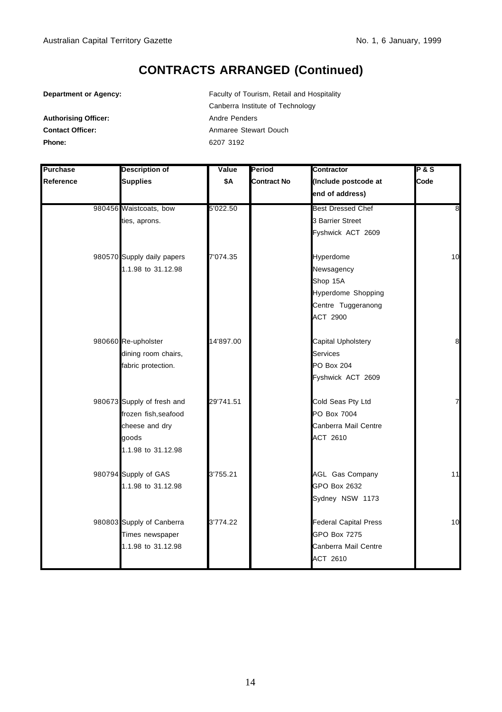**Department or Agency:** Faculty of Tourism, Retail and Hospitality Canberra Institute of Technology Authorising Officer: **Authorising Officer:** Andre Penders **Contact Officer:** Anmaree Stewart Douch **Phone:** 6207 3192

| <b>Purchase</b> | <b>Description of</b>      | Value     | Period             | Contractor                   | <b>P&amp;S</b> |
|-----------------|----------------------------|-----------|--------------------|------------------------------|----------------|
| Reference       | <b>Supplies</b>            | \$Α       | <b>Contract No</b> | (Include postcode at         | Code           |
|                 |                            |           |                    | end of address)              |                |
|                 | 980456 Waistcoats, bow     | 5'022.50  |                    | <b>Best Dressed Chef</b>     | $\infty$       |
|                 | ties, aprons.              |           |                    | 3 Barrier Street             |                |
|                 |                            |           |                    | Fyshwick ACT 2609            |                |
|                 | 980570 Supply daily papers | 7'074.35  |                    | Hyperdome                    | 10             |
|                 | 1.1.98 to 31.12.98         |           |                    | Newsagency                   |                |
|                 |                            |           |                    | Shop 15A                     |                |
|                 |                            |           |                    | Hyperdome Shopping           |                |
|                 |                            |           |                    | Centre Tuggeranong           |                |
|                 |                            |           |                    | ACT 2900                     |                |
|                 | 980660 Re-upholster        | 14'897.00 |                    | Capital Upholstery           | 8              |
|                 | dining room chairs,        |           |                    | <b>Services</b>              |                |
|                 | fabric protection.         |           |                    | <b>PO Box 204</b>            |                |
|                 |                            |           |                    | Fyshwick ACT 2609            |                |
|                 | 980673 Supply of fresh and | 29'741.51 |                    | Cold Seas Pty Ltd            | 7              |
|                 | frozen fish, seafood       |           |                    | PO Box 7004                  |                |
|                 | cheese and dry             |           |                    | Canberra Mail Centre         |                |
|                 | qoods                      |           |                    | ACT 2610                     |                |
|                 | 1.1.98 to 31.12.98         |           |                    |                              |                |
|                 | 980794 Supply of GAS       | 3'755.21  |                    | <b>AGL Gas Company</b>       | 11             |
|                 | 1.1.98 to 31.12.98         |           |                    | GPO Box 2632                 |                |
|                 |                            |           |                    | Sydney NSW 1173              |                |
|                 | 980803 Supply of Canberra  | 3'774.22  |                    | <b>Federal Capital Press</b> | 10             |
|                 | Times newspaper            |           |                    | <b>GPO Box 7275</b>          |                |
|                 | 1.1.98 to 31.12.98         |           |                    | Canberra Mail Centre         |                |
|                 |                            |           |                    | ACT 2610                     |                |
|                 |                            |           |                    |                              |                |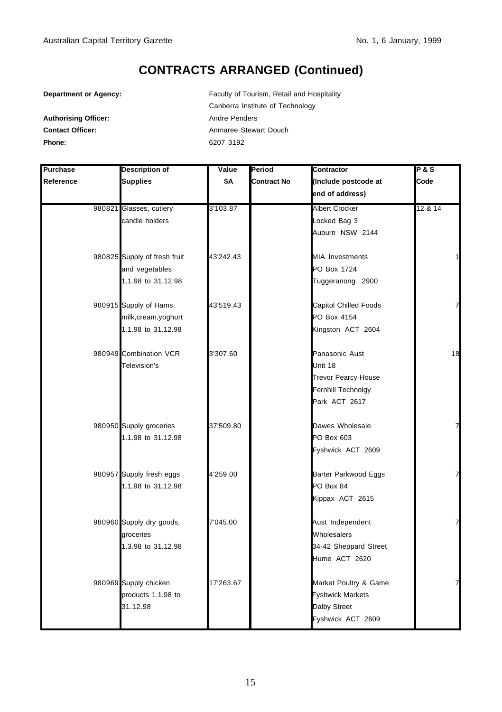**Department or Agency:** Faculty of Tourism, Retail and Hospitality Canberra Institute of Technology Authorising Officer: **Authorising Officer:** Andre Penders **Contact Officer:** Anmaree Stewart Douch **Phone:** 6207 3192

| <b>Purchase</b> | <b>Description of</b>        | Value     | Period             | Contractor                   | P&S     |
|-----------------|------------------------------|-----------|--------------------|------------------------------|---------|
| Reference       | <b>Supplies</b>              | \$Α       | <b>Contract No</b> | (Include postcode at         | Code    |
|                 |                              |           |                    | end of address)              |         |
|                 | 980821 Glasses, cutlery      | 3'103.87  |                    | <b>Albert Crocker</b>        | 12 & 14 |
|                 | candle holders               |           |                    | Locked Bag 3                 |         |
|                 |                              |           |                    | Auburn NSW 2144              |         |
|                 | 980825 Supply of fresh fruit | 43'242.43 |                    | <b>MIA Investments</b>       |         |
|                 | and vegetables               |           |                    | PO Box 1724                  |         |
|                 | 1.1.98 to 31.12.98           |           |                    | Tuggeranong 2900             |         |
|                 | 980915 Supply of Hams,       | 43'519.43 |                    | <b>Capitol Chilled Foods</b> | 7       |
|                 | milk,cream,yoghurt           |           |                    | PO Box 4154                  |         |
|                 | 1.1.98 to 31.12.98           |           |                    | Kingston ACT 2604            |         |
|                 | 980949 Combination VCR       | 3'307.60  |                    | Panasonic Aust               | 18      |
|                 | Television's                 |           |                    | Unit 18                      |         |
|                 |                              |           |                    | <b>Trevor Pearcy House</b>   |         |
|                 |                              |           |                    | Fernhill Technolgy           |         |
|                 |                              |           |                    | Park ACT 2617                |         |
|                 | 980950 Supply groceries      | 37'509.80 |                    | Dawes Wholesale              | 7       |
|                 | 1.1.98 to 31.12.98           |           |                    | PO Box 603                   |         |
|                 |                              |           |                    | Fyshwick ACT 2609            |         |
|                 | 980957 Supply fresh eggs     | 4'259.00  |                    | Barter Parkwood Eggs         | 7       |
|                 | 1.1.98 to 31.12.98           |           |                    | PO Box 84                    |         |
|                 |                              |           |                    | Kippax ACT 2615              |         |
|                 | 980960 Supply dry goods,     | 7'045.00  |                    | Aust Independent             | 7       |
|                 | groceries                    |           |                    | Wholesalers                  |         |
|                 | 1.3.98 to 31.12.98           |           |                    | 34-42 Sheppard Street        |         |
|                 |                              |           |                    | Hume ACT 2620                |         |
|                 | 980969 Supply chicken        | 17'263.67 |                    | Market Poultry & Game        | 7       |
|                 | products 1.1.98 to           |           |                    | <b>Fyshwick Markets</b>      |         |
|                 | 31.12.98                     |           |                    | Dalby Street                 |         |
|                 |                              |           |                    | Fyshwick ACT 2609            |         |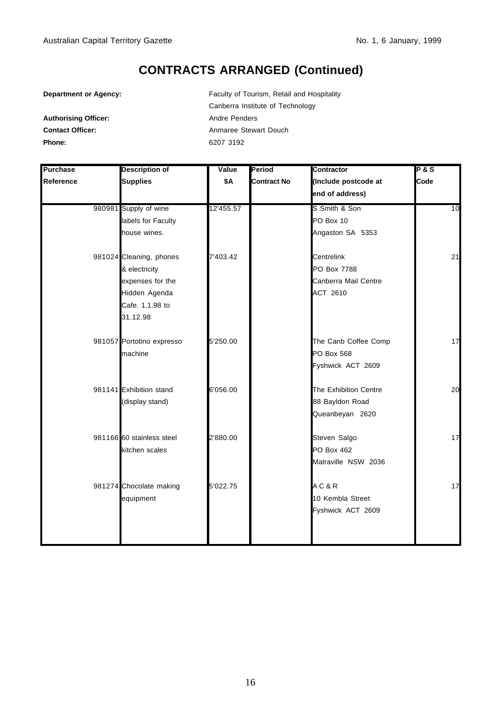**Department or Agency:** Faculty of Tourism, Retail and Hospitality Canberra Institute of Technology **Contact Officer:** Anmaree Stewart Douch **Phone:** 6207 3192

| <b>Purchase</b> | <b>Description of</b>     | Value     | Period             | <b>Contractor</b>     | <b>P&amp;S</b> |
|-----------------|---------------------------|-----------|--------------------|-----------------------|----------------|
| Reference       | <b>Supplies</b>           | \$Α       | <b>Contract No</b> | (Include postcode at  | Code           |
|                 |                           |           |                    | end of address)       |                |
|                 | 980981 Supply of wine     | 12'455.57 |                    | S Smith & Son         | 10             |
|                 | labels for Faculty        |           |                    | PO Box 10             |                |
|                 | house wines.              |           |                    | Angaston SA 5353      |                |
|                 | 981024 Cleaning, phones   | 7'403.42  |                    | Centrelink            | 21             |
|                 | & electricity             |           |                    | PO Box 7788           |                |
|                 | expenses for the          |           |                    | Canberra Mail Centre  |                |
|                 | Hidden Agenda             |           |                    | ACT 2610              |                |
|                 | Cafe. 1.1.98 to           |           |                    |                       |                |
|                 | 31.12.98                  |           |                    |                       |                |
|                 | 981057 Portotino expresso | 5'250.00  |                    | The Canb Coffee Comp  | 17             |
|                 | machine                   |           |                    | <b>PO Box 568</b>     |                |
|                 |                           |           |                    | Fyshwick ACT 2609     |                |
|                 | 981141 Exhibition stand   | 6'056.00  |                    | The Exhibition Centre | 20             |
|                 | (display stand)           |           |                    | 88 Bayldon Road       |                |
|                 |                           |           |                    | Queanbeyan 2620       |                |
|                 | 981166 60 stainless steel | 2'880.00  |                    | Steven Salgo          | 17             |
|                 | kitchen scales            |           |                    | <b>PO Box 462</b>     |                |
|                 |                           |           |                    | Matraville NSW 2036   |                |
|                 | 981274 Chocolate making   | 5'022.75  |                    | AC & R                | 17             |
|                 | equipment                 |           |                    | 10 Kembla Street      |                |
|                 |                           |           |                    | Fyshwick ACT 2609     |                |
|                 |                           |           |                    |                       |                |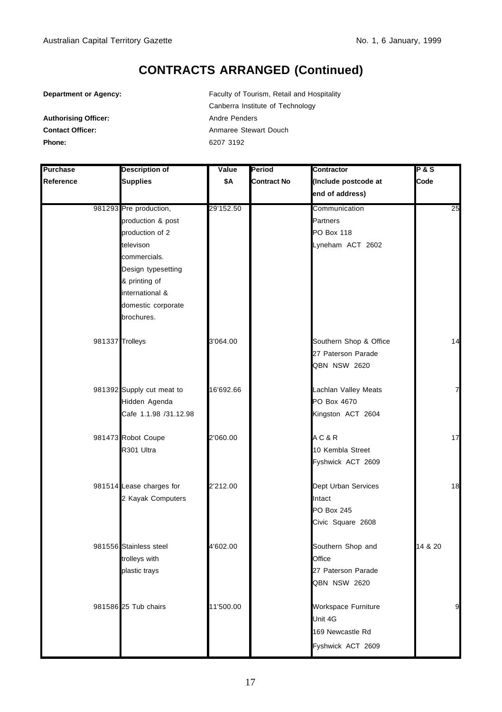**Department or Agency:** Faculty of Tourism, Retail and Hospitality Canberra Institute of Technology Authorising Officer: **Authorising Officer:** Andre Penders **Contact Officer:** Anmaree Stewart Douch **Phone:** 6207 3192

| Purchase  | <b>Description of</b>                                                                                                                                                                     | Value     | Period             | Contractor                                                              | <b>P&amp;S</b> |
|-----------|-------------------------------------------------------------------------------------------------------------------------------------------------------------------------------------------|-----------|--------------------|-------------------------------------------------------------------------|----------------|
| Reference | <b>Supplies</b>                                                                                                                                                                           | \$Α       | <b>Contract No</b> | (Include postcode at                                                    | Code           |
|           |                                                                                                                                                                                           |           |                    | end of address)                                                         |                |
|           | 981293 Pre production,<br>production & post<br>production of 2<br>televison<br>commercials.<br>Design typesetting<br>& printing of<br>international &<br>domestic corporate<br>brochures. | 29'152.50 |                    | Communication<br>Partners<br>PO Box 118<br>Lyneham ACT 2602             | 25             |
|           | 981337 Trolleys                                                                                                                                                                           | 3'064.00  |                    | Southern Shop & Office<br>27 Paterson Parade<br><b>QBN NSW 2620</b>     | 14             |
|           | 981392 Supply cut meat to<br>Hidden Agenda<br>Cafe 1.1.98 /31.12.98                                                                                                                       | 16'692.66 |                    | Lachlan Valley Meats<br>PO Box 4670<br>Kingston ACT 2604                | $\overline{7}$ |
|           | 981473 Robot Coupe<br>R301 Ultra                                                                                                                                                          | 2'060.00  |                    | AC & R<br>10 Kembla Street<br>Fyshwick ACT 2609                         | 17             |
|           | 981514 Lease charges for<br>2 Kayak Computers                                                                                                                                             | 2'212.00  |                    | Dept Urban Services<br>Intact<br><b>PO Box 245</b><br>Civic Square 2608 | 18             |
|           | 981556 Stainless steel<br>trolleys with<br>plastic trays                                                                                                                                  | 4'602.00  |                    | Southern Shop and<br>Office<br>27 Paterson Parade<br>QBN NSW 2620       | 14 & 20        |
|           | 981586 25 Tub chairs                                                                                                                                                                      | 11'500.00 |                    | Workspace Furniture<br>Unit 4G<br>169 Newcastle Rd<br>Fyshwick ACT 2609 | 9              |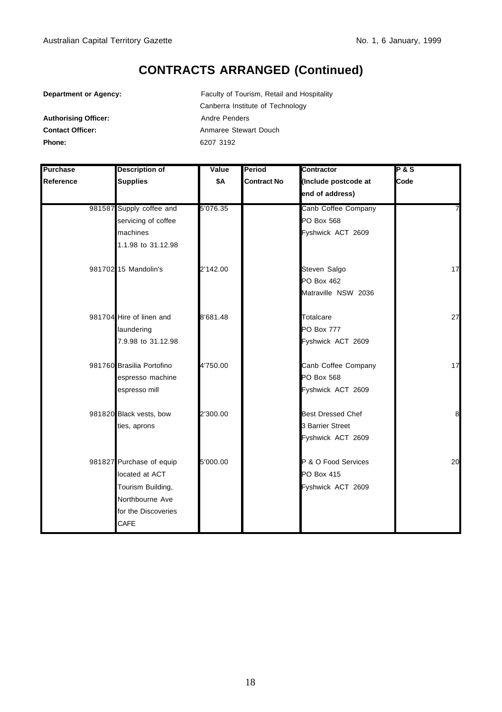| <b>Department or Agency:</b> |  |  |  |
|------------------------------|--|--|--|
|------------------------------|--|--|--|

Faculty of Tourism, Retail and Hospitality Canberra Institute of Technology Authorising Officer: Andre Penders **Contact Officer:** Anmaree Stewart Douch **Phone:** 6207 3192

| <b>Purchase</b> | <b>Description of</b>     | Value    | <b>Period</b>      | Contractor               | <b>P&amp;S</b> |
|-----------------|---------------------------|----------|--------------------|--------------------------|----------------|
| Reference       | <b>Supplies</b>           | \$Α      | <b>Contract No</b> | (Include postcode at     | Code           |
|                 |                           |          |                    | end of address)          |                |
|                 | 981587 Supply coffee and  | 5'076.35 |                    | Canb Coffee Company      | 7              |
|                 | servicing of coffee       |          |                    | PO Box 568               |                |
|                 | machines                  |          |                    | Fyshwick ACT 2609        |                |
|                 | 1.1.98 to 31.12.98        |          |                    |                          |                |
|                 | 981702 15 Mandolin's      | 2'142.00 |                    | Steven Salgo             | 17             |
|                 |                           |          |                    | <b>PO Box 462</b>        |                |
|                 |                           |          |                    | Matraville NSW 2036      |                |
|                 | 981704 Hire of linen and  | 8'681.48 |                    | Totalcare                | 27             |
|                 | laundering                |          |                    | <b>PO Box 777</b>        |                |
|                 | 7.9.98 to 31.12.98        |          |                    | Fyshwick ACT 2609        |                |
|                 | 981760 Brasilia Portofino | 4'750.00 |                    | Canb Coffee Company      | 17             |
|                 | espresso machine          |          |                    | PO Box 568               |                |
|                 | espresso mill             |          |                    | Fyshwick ACT 2609        |                |
|                 | 981820 Black vests, bow   | 2'300.00 |                    | <b>Best Dressed Chef</b> | 8              |
|                 | ties, aprons              |          |                    | 3 Barrier Street         |                |
|                 |                           |          |                    | Fyshwick ACT 2609        |                |
|                 | 981827 Purchase of equip  | 5'000.00 |                    | P & O Food Services      | 20             |
|                 | located at ACT            |          |                    | PO Box 415               |                |
|                 | Tourism Building,         |          |                    | Fyshwick ACT 2609        |                |
|                 | Northbourne Ave           |          |                    |                          |                |
|                 | for the Discoveries       |          |                    |                          |                |
|                 | CAFE                      |          |                    |                          |                |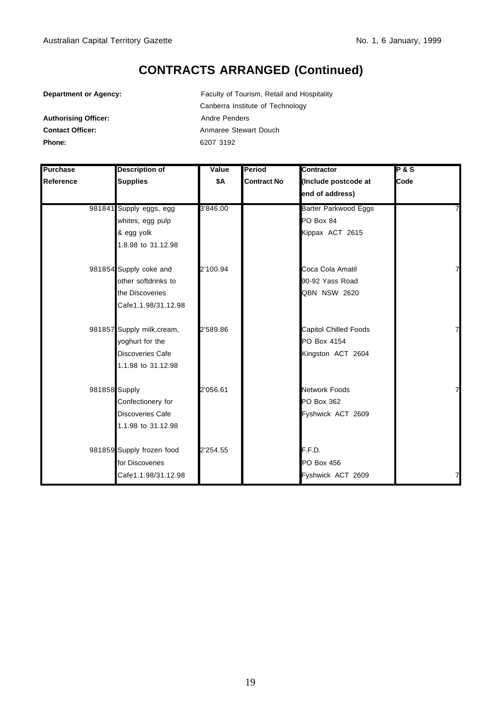| <b>Department or Agency:</b> |  |  |  |
|------------------------------|--|--|--|
|------------------------------|--|--|--|

Faculty of Tourism, Retail and Hospitality Canberra Institute of Technology Authorising Officer: Andre Penders **Contact Officer:** Anmaree Stewart Douch **Phone:** 6207 3192

| <b>Purchase</b> | <b>Description of</b>      | Value    | Period             | Contractor            | <b>P&amp;S</b> |
|-----------------|----------------------------|----------|--------------------|-----------------------|----------------|
| Reference       | <b>Supplies</b>            | \$A      | <b>Contract No</b> | (Include postcode at  | Code           |
|                 |                            |          |                    | end of address)       |                |
|                 | 981841 Supply eggs, egg    | 3'846.00 |                    | Barter Parkwood Eggs  |                |
|                 | whites, egg pulp           |          |                    | PO Box 84             |                |
|                 | & egg yolk                 |          |                    | Kippax ACT 2615       |                |
|                 | 1.8.98 to 31.12.98         |          |                    |                       |                |
|                 | 981854 Supply coke and     | 2'100.94 |                    | Coca Cola Amatil      | 7              |
|                 | other softdrinks to        |          |                    | 90-92 Yass Road       |                |
|                 | the Discoveries            |          |                    | QBN NSW 2620          |                |
|                 | Cafe1.1.98/31.12.98        |          |                    |                       |                |
|                 | 981857 Supply milk, cream, | 2'589.86 |                    | Capitol Chilled Foods | 7              |
|                 | yoghurt for the            |          |                    | PO Box 4154           |                |
|                 | Discoveries Cafe           |          |                    | Kingston ACT 2604     |                |
|                 | 1.1.98 to 31.12.98         |          |                    |                       |                |
| 981858 Supply   |                            | 2'056.61 |                    | <b>Network Foods</b>  | 7              |
|                 | Confectionery for          |          |                    | PO Box 362            |                |
|                 | Discoveries Cafe           |          |                    | Fyshwick ACT 2609     |                |
|                 | 1.1.98 to 31.12.98         |          |                    |                       |                |
|                 | 981859 Supply frozen food  | 2'254.55 |                    | F.F.D.                |                |
|                 | for Discoveries            |          |                    | PO Box 456            |                |
|                 | Cafe1.1.98/31.12.98        |          |                    | Fyshwick ACT 2609     | 7              |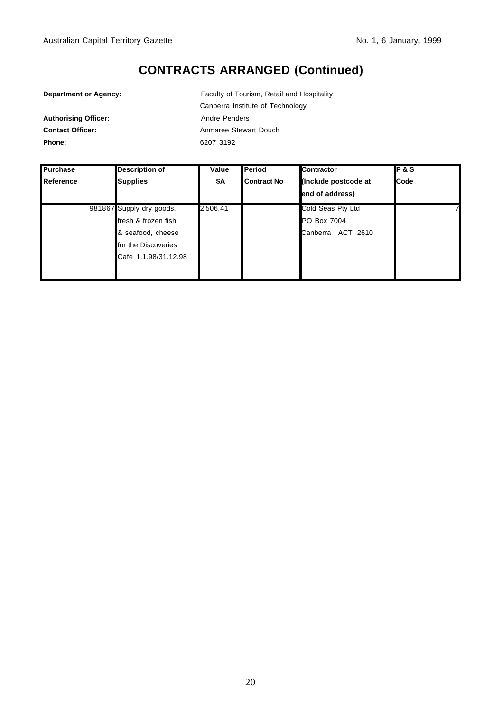| <b>Department or Agency:</b> |  |  |
|------------------------------|--|--|
|------------------------------|--|--|

Authorising Officer: Andre Penders

Faculty of Tourism, Retail and Hospitality Canberra Institute of Technology **Contact Officer:** Anmaree Stewart Douch **Phone:** 6207 3192

| <b>Purchase</b> | <b>Description of</b>    | Value    | Period      | Contractor           | <b>P&amp;S</b> |
|-----------------|--------------------------|----------|-------------|----------------------|----------------|
| Reference       | <b>Supplies</b>          | \$Α      | Contract No | (Include postcode at | Code           |
|                 |                          |          |             | end of address)      |                |
|                 | 981867 Supply dry goods, | 2'506.41 |             | Cold Seas Pty Ltd    |                |
|                 | fresh & frozen fish      |          |             | PO Box 7004          |                |
|                 | & seafood, cheese        |          |             | Canberra ACT 2610    |                |
|                 | for the Discoveries      |          |             |                      |                |
|                 | Cafe 1.1.98/31.12.98     |          |             |                      |                |
|                 |                          |          |             |                      |                |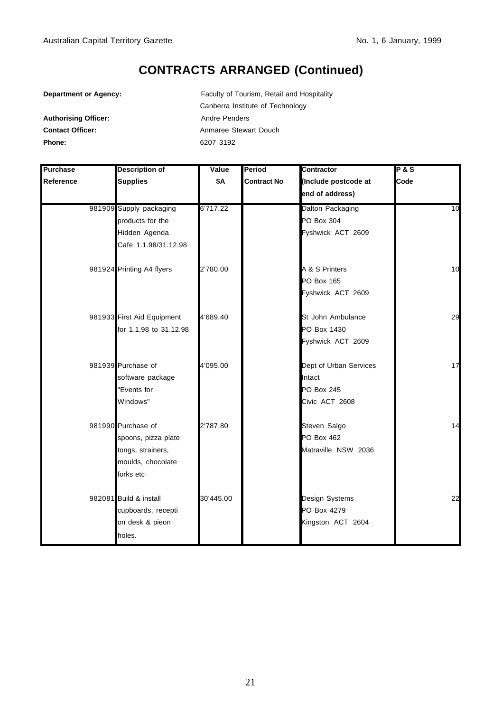| <b>Department or Agency:</b> |  |  |  |
|------------------------------|--|--|--|
|------------------------------|--|--|--|

Faculty of Tourism, Retail and Hospitality Canberra Institute of Technology Authorising Officer: Andre Penders **Contact Officer:** Anmaree Stewart Douch **Phone:** 6207 3192

| <b>Purchase</b> | <b>Description of</b>      | Value     | Period             | <b>Contractor</b>      | <b>P&amp;S</b> |
|-----------------|----------------------------|-----------|--------------------|------------------------|----------------|
| Reference       | <b>Supplies</b>            | \$Α       | <b>Contract No</b> | (Include postcode at   | Code           |
|                 |                            |           |                    | end of address)        |                |
|                 | 981909 Supply packaging    | 6'717.22  |                    | Dalton Packaging       | 10             |
|                 | products for the           |           |                    | PO Box 304             |                |
|                 | Hidden Agenda              |           |                    | Fyshwick ACT 2609      |                |
|                 | Cafe 1.1.98/31.12.98       |           |                    |                        |                |
|                 | 981924 Printing A4 flyers  | 2'780.00  |                    | A & S Printers         | 10             |
|                 |                            |           |                    | <b>PO Box 165</b>      |                |
|                 |                            |           |                    | Fyshwick ACT 2609      |                |
|                 | 981933 First Aid Equipment | 4'689.40  |                    | St John Ambulance      | 29             |
|                 | for 1.1.98 to 31.12.98     |           |                    | PO Box 1430            |                |
|                 |                            |           |                    | Fyshwick ACT 2609      |                |
|                 | 981939 Purchase of         | 4'095.00  |                    | Dept of Urban Services | 17             |
|                 | software package           |           |                    | Intact                 |                |
|                 | "Events for                |           |                    | <b>PO Box 245</b>      |                |
|                 | Windows"                   |           |                    | Civic ACT 2608         |                |
|                 | 981990 Purchase of         | 2'787.80  |                    | Steven Salgo           | 14             |
|                 | spoons, pizza plate        |           |                    | <b>PO Box 462</b>      |                |
|                 | tongs, strainers,          |           |                    | Matraville NSW 2036    |                |
|                 | moulds, chocolate          |           |                    |                        |                |
|                 | forks etc                  |           |                    |                        |                |
|                 | 982081 Build & install     | 30'445.00 |                    | Design Systems         | 22             |
|                 | cupboards, recepti         |           |                    | PO Box 4279            |                |
|                 | on desk & pieon            |           |                    | Kingston ACT 2604      |                |
|                 | holes.                     |           |                    |                        |                |
|                 |                            |           |                    |                        |                |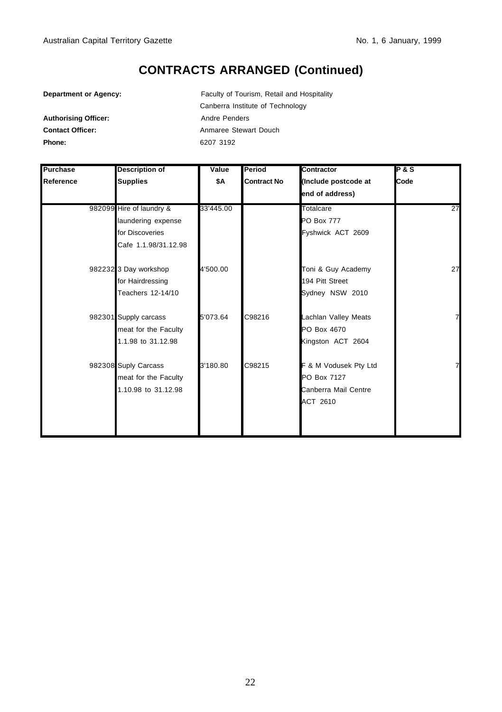| <b>Department or Agency:</b> |  |  |  |
|------------------------------|--|--|--|
|------------------------------|--|--|--|

Faculty of Tourism, Retail and Hospitality Canberra Institute of Technology Authorising Officer: Andre Penders **Contact Officer:** Anmaree Stewart Douch **Phone:** 6207 3192

| Purchase  | Description of           | Value     | Period             | <b>Contractor</b>     | <b>P&amp;S</b> |
|-----------|--------------------------|-----------|--------------------|-----------------------|----------------|
| Reference | <b>Supplies</b>          | \$Α       | <b>Contract No</b> | (Include postcode at  | Code           |
|           |                          |           |                    | end of address)       |                |
|           | 982099 Hire of laundry & | 33'445.00 |                    | Totalcare             | 27             |
|           | laundering expense       |           |                    | <b>PO Box 777</b>     |                |
|           | for Discoveries          |           |                    | Fyshwick ACT 2609     |                |
|           | Cafe 1.1.98/31.12.98     |           |                    |                       |                |
|           | 982232 3 Day workshop    | 4'500.00  |                    | Toni & Guy Academy    | 27             |
|           | for Hairdressing         |           |                    | 194 Pitt Street       |                |
|           | Teachers 12-14/10        |           |                    | Sydney NSW 2010       |                |
|           | 982301 Supply carcass    | 5'073.64  | C98216             | Lachlan Valley Meats  | 7              |
|           | meat for the Faculty     |           |                    | PO Box 4670           |                |
|           | 1.1.98 to 31.12.98       |           |                    | Kingston ACT 2604     |                |
|           | 982308 Suply Carcass     | 3'180.80  | C98215             | F & M Vodusek Pty Ltd | 7              |
|           | meat for the Faculty     |           |                    | PO Box 7127           |                |
|           | 1.10.98 to 31.12.98      |           |                    | Canberra Mail Centre  |                |
|           |                          |           |                    | ACT 2610              |                |
|           |                          |           |                    |                       |                |
|           |                          |           |                    |                       |                |
|           |                          |           |                    |                       |                |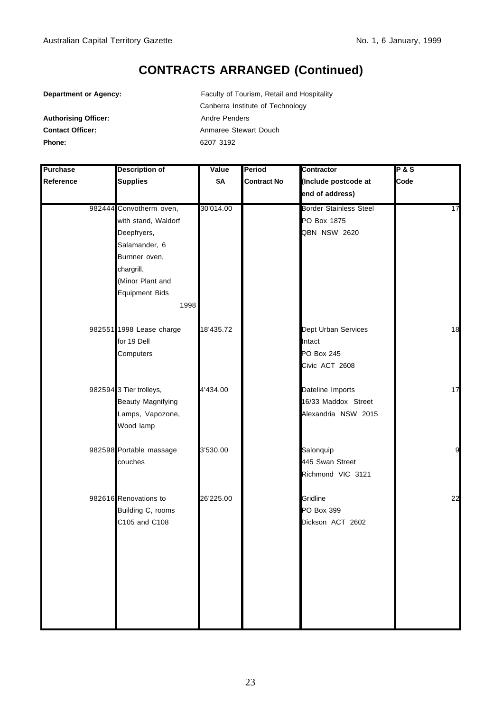**Department or Agency:** Faculty of Tourism, Retail and Hospitality Canberra Institute of Technology Authorising Officer: Andre Penders **Contact Officer:** Anmaree Stewart Douch **Phone:** 6207 3192

| Purchase  | <b>Description of</b>    | Value     | Period             | Contractor                    | <b>P&amp;S</b> |
|-----------|--------------------------|-----------|--------------------|-------------------------------|----------------|
| Reference | <b>Supplies</b>          | \$Α       | <b>Contract No</b> | (Include postcode at          | Code           |
|           |                          |           |                    | end of address)               |                |
|           | 982444 Convotherm oven,  | 30'014.00 |                    | <b>Border Stainless Steel</b> | 17             |
|           | with stand, Waldorf      |           |                    | PO Box 1875                   |                |
|           | Deepfryers,              |           |                    | QBN NSW 2620                  |                |
|           | Salamander, 6            |           |                    |                               |                |
|           | Burnner oven,            |           |                    |                               |                |
|           | chargrill.               |           |                    |                               |                |
|           | (Minor Plant and         |           |                    |                               |                |
|           | <b>Equipment Bids</b>    |           |                    |                               |                |
|           | 1998                     |           |                    |                               |                |
|           | 982551 1998 Lease charge | 18'435.72 |                    | Dept Urban Services           | 18             |
|           | for 19 Dell              |           |                    | Intact                        |                |
|           | Computers                |           |                    | <b>PO Box 245</b>             |                |
|           |                          |           |                    | Civic ACT 2608                |                |
|           | 982594 3 Tier trolleys,  | 4'434.00  |                    | Dateline Imports              | 17             |
|           | Beauty Magnifying        |           |                    | 16/33 Maddox Street           |                |
|           | Lamps, Vapozone,         |           |                    | Alexandria NSW 2015           |                |
|           | Wood lamp                |           |                    |                               |                |
|           | 982598 Portable massage  | 3'530.00  |                    | Salonquip                     | 9              |
|           | couches                  |           |                    | 445 Swan Street               |                |
|           |                          |           |                    | Richmond VIC 3121             |                |
|           | 982616 Renovations to    | 26'225.00 |                    | Gridline                      | 22             |
|           | Building C, rooms        |           |                    | PO Box 399                    |                |
|           | C105 and C108            |           |                    | Dickson ACT 2602              |                |
|           |                          |           |                    |                               |                |
|           |                          |           |                    |                               |                |
|           |                          |           |                    |                               |                |
|           |                          |           |                    |                               |                |
|           |                          |           |                    |                               |                |
|           |                          |           |                    |                               |                |
|           |                          |           |                    |                               |                |
|           |                          |           |                    |                               |                |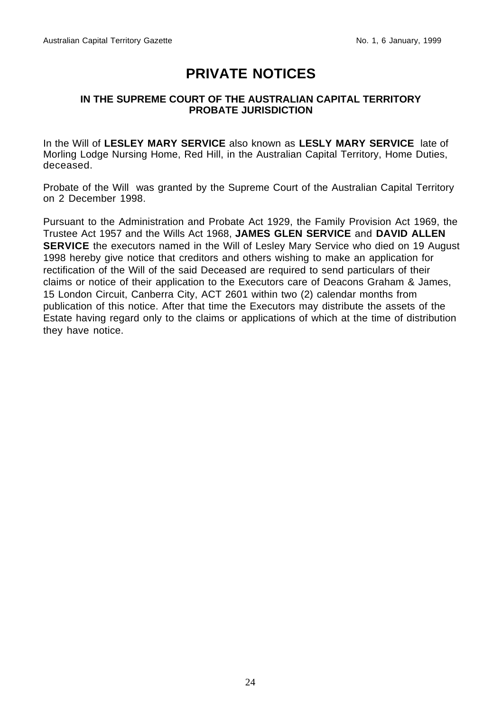### **PRIVATE NOTICES**

#### **IN THE SUPREME COURT OF THE AUSTRALIAN CAPITAL TERRITORY PROBATE JURISDICTION**

In the Will of **LESLEY MARY SERVICE** also known as **LESLY MARY SERVICE** late of Morling Lodge Nursing Home, Red Hill, in the Australian Capital Territory, Home Duties, deceased.

Probate of the Will was granted by the Supreme Court of the Australian Capital Territory on 2 December 1998.

Pursuant to the Administration and Probate Act 1929, the Family Provision Act 1969, the Trustee Act 1957 and the Wills Act 1968, **JAMES GLEN SERVICE** and **DAVID ALLEN SERVICE** the executors named in the Will of Lesley Mary Service who died on 19 August 1998 hereby give notice that creditors and others wishing to make an application for rectification of the Will of the said Deceased are required to send particulars of their claims or notice of their application to the Executors care of Deacons Graham & James, 15 London Circuit, Canberra City, ACT 2601 within two (2) calendar months from publication of this notice. After that time the Executors may distribute the assets of the Estate having regard only to the claims or applications of which at the time of distribution they have notice.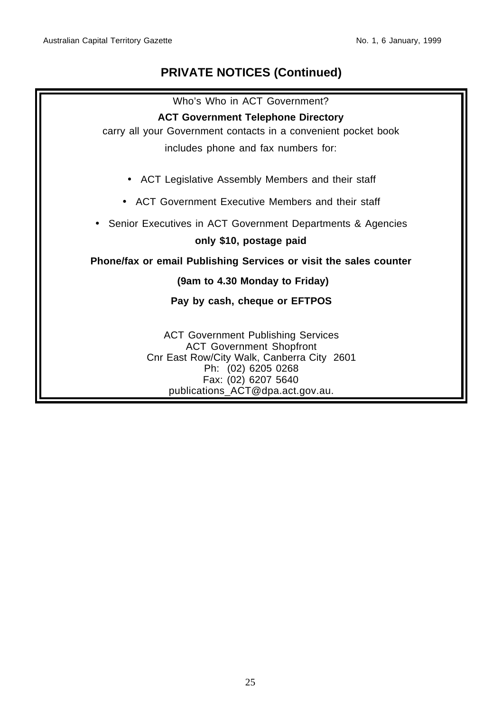#### **PRIVATE NOTICES (Continued)**